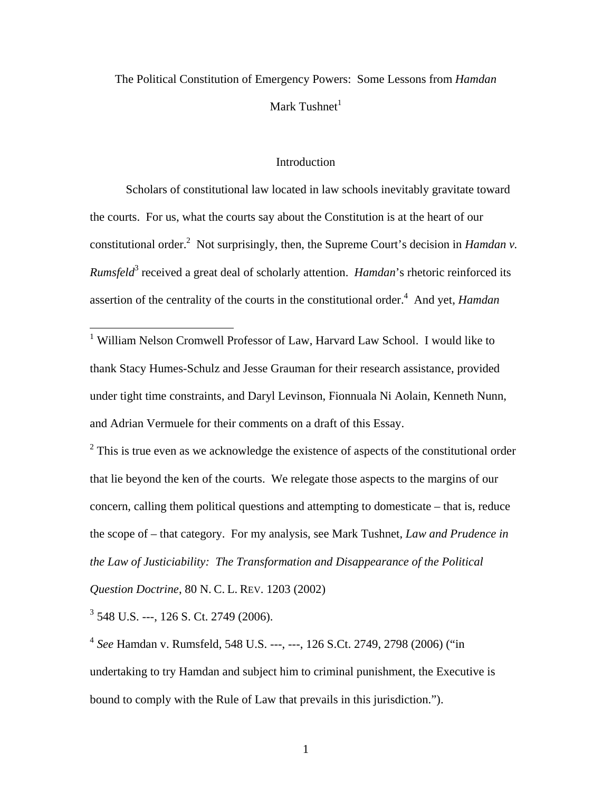# The Political Constitution of Emergency Powers: Some Lessons from *Hamdan* Mark Tushnet<sup>[1](#page-0-0)</sup>

## **Introduction**

Scholars of constitutional law located in law schools inevitably gravitate toward the courts. For us, what the courts say about the Constitution is at the heart of our constitutional order.<sup>[2](#page-0-1)</sup> Not surprisingly, then, the Supreme Court's decision in *Hamdan v*. *Rumsfeld*<sup>3</sup> [r](#page-0-2)eceived a great deal of scholarly attention. *Hamdan*'s rhetoric reinforced its assertion of the centrality of the courts in the constitutional order.<sup>4</sup> And yet, *Hamdan* 

<span id="page-0-0"></span> 1 William Nelson Cromwell Professor of Law, Harvard Law School. I would like to thank Stacy Humes-Schulz and Jesse Grauman for their research assistance, provided under tight time constraints, and Daryl Levinson, Fionnuala Ni Aolain, Kenneth Nunn, and Adrian Vermuele for their comments on a draft of this Essay.

<span id="page-0-1"></span> $2$  This is true even as we acknowledge the existence of aspects of the constitutional order that lie beyond the ken of the courts. We relegate those aspects to the margins of our concern, calling them political questions and attempting to domesticate – that is, reduce the scope of – that category. For my analysis, see Mark Tushnet, *Law and Prudence in the Law of Justiciability: The Transformation and Disappearance of the Political Question Doctrine*, 80 N. C. L. REV. 1203 (2002)

<span id="page-0-2"></span>3 548 U.S. ---, 126 S. Ct. 2749 (2006).

<span id="page-0-3"></span><sup>4</sup> *See* Hamdan v. Rumsfeld, 548 U.S. ---, ---, 126 S.Ct. 2749, 2798 (2006) ("in undertaking to try Hamdan and subject him to criminal punishment, the Executive is bound to comply with the Rule of Law that prevails in this jurisdiction.").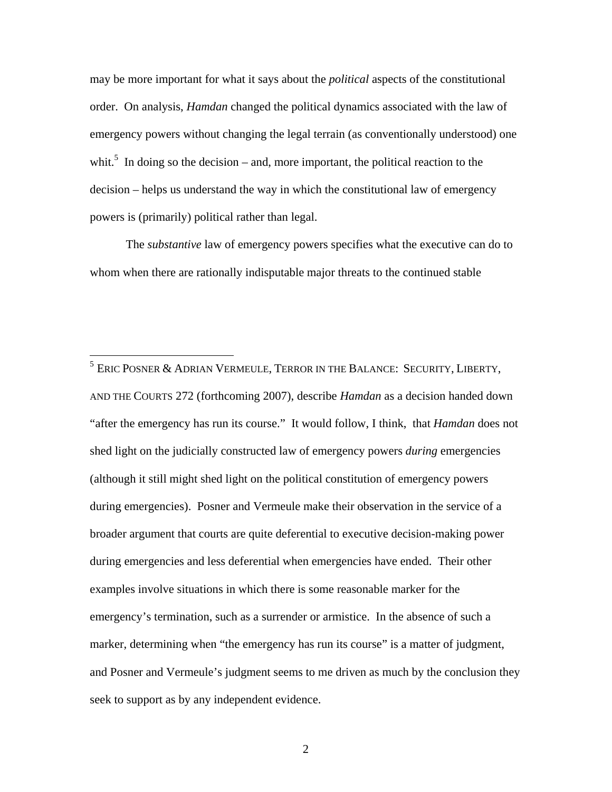may be more important for what it says about the *political* aspects of the constitutional order. On analysis, *Hamdan* changed the political dynamics associated with the law of emergency powers without changing the legal terrain (as conventionally understood) one whit.<sup>5</sup> In doing so the decision – and, more important, the political reaction to the decision – helps us understand the way in which the constitutional law of emergency powers is (primarily) political rather than legal.

The *substantive* law of emergency powers specifies what the executive can do to whom when there are rationally indisputable major threats to the continued stable

<span id="page-1-0"></span><sup>–&</sup>lt;br><sup>5</sup> Eric Posner & Adrian Vermeule, Terror in the Balance: Security, Liberty, AND THE COURTS 272 (forthcoming 2007), describe *Hamdan* as a decision handed down "after the emergency has run its course." It would follow, I think, that *Hamdan* does not shed light on the judicially constructed law of emergency powers *during* emergencies (although it still might shed light on the political constitution of emergency powers during emergencies). Posner and Vermeule make their observation in the service of a broader argument that courts are quite deferential to executive decision-making power during emergencies and less deferential when emergencies have ended. Their other examples involve situations in which there is some reasonable marker for the emergency's termination, such as a surrender or armistice. In the absence of such a marker, determining when "the emergency has run its course" is a matter of judgment, and Posner and Vermeule's judgment seems to me driven as much by the conclusion they seek to support as by any independent evidence.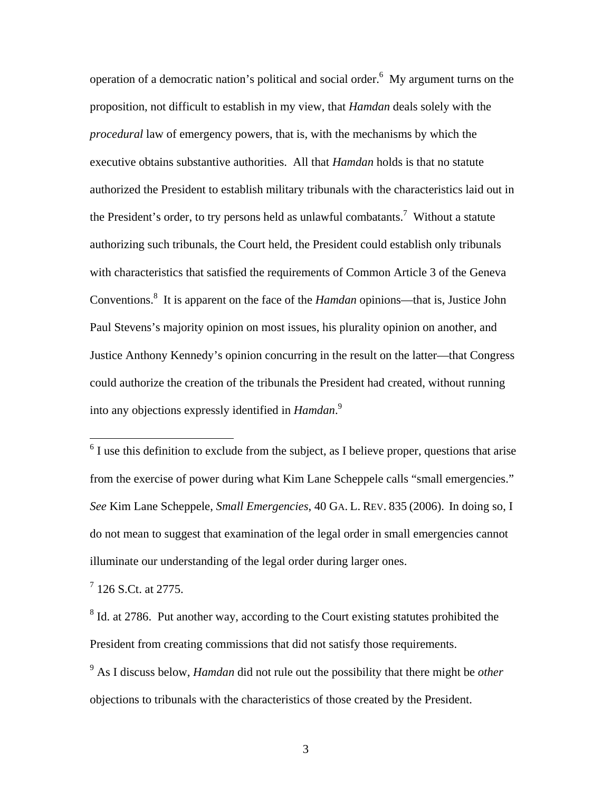operation of a democratic nation's political and social order.<sup>[6](#page-2-0)</sup> My argument turns on the proposition, not difficult to establish in my view, that *Hamdan* deals solely with the *procedural* law of emergency powers, that is, with the mechanisms by which the executive obtains substantive authorities. All that *Hamdan* holds is that no statute authorized the President to establish military tribunals with the characteristics laid out in the President's order, to try persons held as unlawful combatants.<sup>[7](#page-2-1)</sup> Without a statute authorizing such tribunals, the Court held, the President could establish only tribunals with characteristics that satisfied the requirements of Common Article 3 of the Geneva Conventions.<sup>[8](#page-2-2)</sup> It is apparent on the face of the *Hamdan* opinions—that is, Justice John Paul Stevens's majority opinion on most issues, his plurality opinion on another, and Justice Anthony Kennedy's opinion concurring in the result on the latter—that Congress could authorize the creation of the tribunals the President had created, without running into any objections expressly identified in *Hamdan*. [9](#page-2-3)

<span id="page-2-0"></span> $6$  I use this definition to exclude from the subject, as I believe proper, questions that arise from the exercise of power during what Kim Lane Scheppele calls "small emergencies." *See* Kim Lane Scheppele, *Small Emergencies*, 40 GA. L. REV. 835 (2006). In doing so, I do not mean to suggest that examination of the legal order in small emergencies cannot illuminate our understanding of the legal order during larger ones.

<span id="page-2-1"></span> $7$  126 S.Ct. at 2775.

 $\overline{a}$ 

<span id="page-2-2"></span> $8$  Id. at 2786. Put another way, according to the Court existing statutes prohibited the President from creating commissions that did not satisfy those requirements.

<span id="page-2-3"></span>9 As I discuss below, *Hamdan* did not rule out the possibility that there might be *other* objections to tribunals with the characteristics of those created by the President.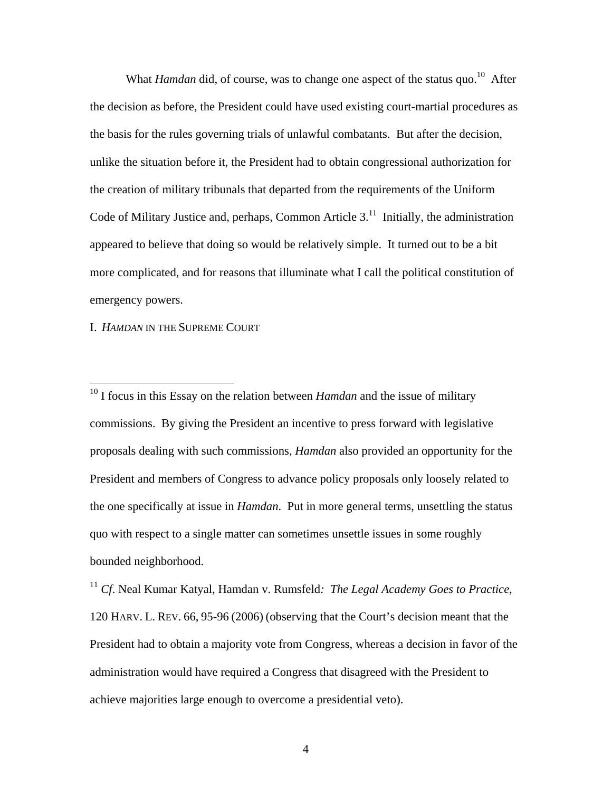What *Hamdan* did, of course, was to change one aspect of the status quo.<sup>10</sup> After the decision as before, the President could have used existing court-martial procedures as the basis for the rules governing trials of unlawful combatants. But after the decision, unlike the situation before it, the President had to obtain congressional authorization for the creation of military tribunals that departed from the requirements of the Uniform Code of Military Justice and, perhaps, Common Article  $3<sup>11</sup>$  Initially, the administration appeared to believe that doing so would be relatively simple. It turned out to be a bit more complicated, and for reasons that illuminate what I call the political constitution of emergency powers.

I. *HAMDAN* IN THE SUPREME COURT

 $\overline{a}$ 

<span id="page-3-0"></span>10 I focus in this Essay on the relation between *Hamdan* and the issue of military commissions. By giving the President an incentive to press forward with legislative proposals dealing with such commissions, *Hamdan* also provided an opportunity for the President and members of Congress to advance policy proposals only loosely related to the one specifically at issue in *Hamdan*. Put in more general terms, unsettling the status quo with respect to a single matter can sometimes unsettle issues in some roughly bounded neighborhood.

<span id="page-3-1"></span><sup>11</sup> *Cf*. Neal Kumar Katyal, Hamdan v. Rumsfeld*: The Legal Academy Goes to Practice*, 120 HARV. L. REV. 66, 95-96 (2006) (observing that the Court's decision meant that the President had to obtain a majority vote from Congress, whereas a decision in favor of the administration would have required a Congress that disagreed with the President to achieve majorities large enough to overcome a presidential veto).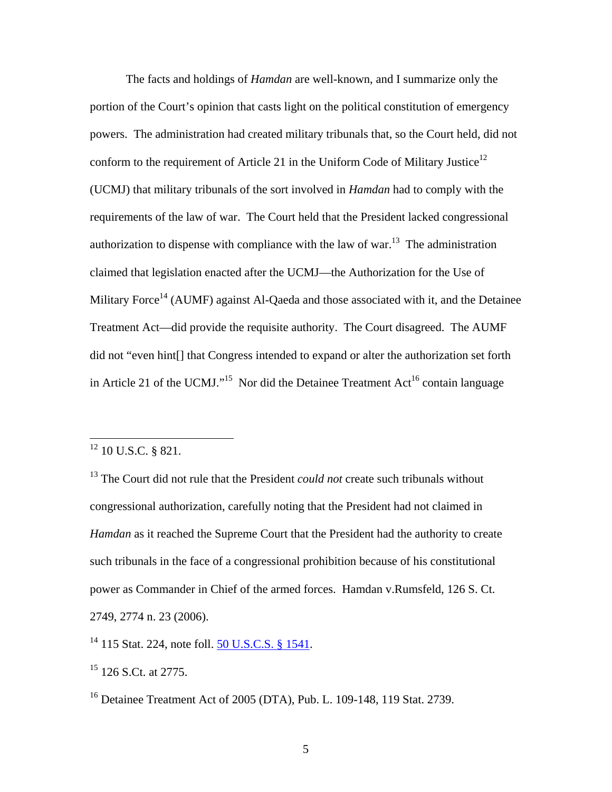The facts and holdings of *Hamdan* are well-known, and I summarize only the portion of the Court's opinion that casts light on the political constitution of emergency powers. The administration had created military tribunals that, so the Court held, did not conform to the requirement of Article 21 in the Uniform Code of Military Justice<sup>[12](#page-4-0)</sup> (UCMJ) that military tribunals of the sort involved in *Hamdan* had to comply with the requirements of the law of war. The Court held that the President lacked congressional authorization to dispense with compliance with the law of war.<sup>13</sup> The administration claimed that legislation enacted after the UCMJ—the Authorization for the Use of Military Force<sup>14</sup> (AUMF) against Al-Qaeda and those associated with it, and the Detainee Treatment Act—did provide the requisite authority. The Court disagreed. The AUMF did not "even hint[] that Congress intended to expand or alter the authorization set forth in Article 21 of the UCMJ."<sup>15</sup> Nor did the Detainee Treatment  $Act^{16}$  contain language

<span id="page-4-0"></span> $12$  10 U.S.C. § 821.

<span id="page-4-1"></span><sup>&</sup>lt;sup>13</sup> The Court did not rule that the President *could not* create such tribunals without congressional authorization, carefully noting that the President had not claimed in *Hamdan* as it reached the Supreme Court that the President had the authority to create such tribunals in the face of a congressional prohibition because of his constitutional power as Commander in Chief of the armed forces. Hamdan v.Rumsfeld, 126 S. Ct. 2749, 2774 n. 23 (2006).

<span id="page-4-2"></span><sup>14 115</sup> Stat. 224, note foll. [50 U.S.C.S. § 1541](http://www.lexis.com/research/buttonTFLink?_m=2e38dd43220975341e2634ccde0f9e3d&_xfercite=%3ccite%20cc%3d%22USA%22%3e%3c%21%5bCDATA%5b126%20S.%20Ct.%202749%5d%5d%3e%3c%2fcite%3e&_butType=4&_butStat=0&_butNum=3&_butInline=1&_butinfo=50%20USC%201541&_fmtstr=FULL&docnum=1&_startdoc=1&wchp=dGLbVlz-zSkAV&_md5=2259d824a13357af98ca13861f8f4bdf).

<span id="page-4-3"></span><sup>&</sup>lt;sup>15</sup> 126 S.Ct. at 2775.

<span id="page-4-4"></span><sup>16</sup> Detainee Treatment Act of 2005 (DTA), Pub. L. 109-148, 119 Stat. 2739.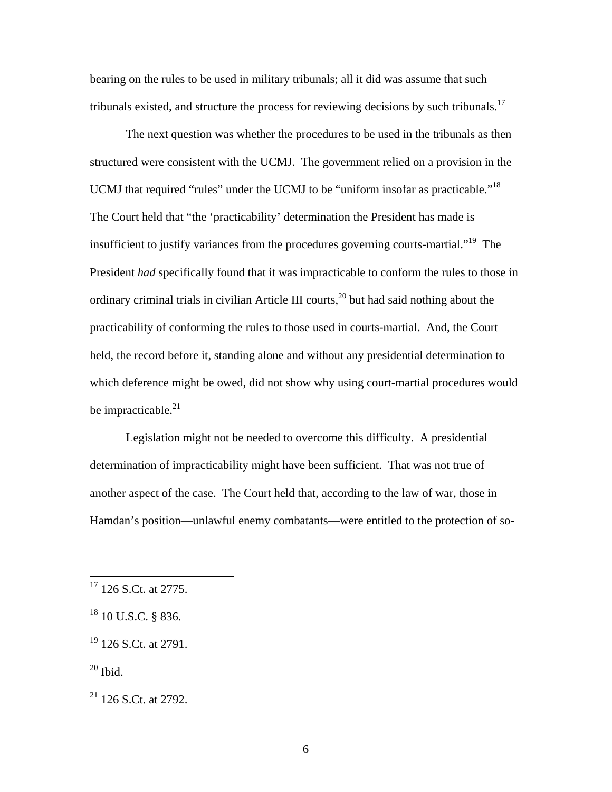bearing on the rules to be used in military tribunals; all it did was assume that such tribunals existed, and structure the process for reviewing decisions by such tribunals.<sup>[17](#page-5-0)</sup>

The next question was whether the procedures to be used in the tribunals as then structured were consistent with the UCMJ. The government relied on a provision in the UCMJ that required "rules" under the UCMJ to be "uniform insofar as practicable."<sup>18</sup> The Court held that "the 'practicability' determination the President has made is insufficient to justify variances from the procedures governing courts-martial."<sup>19</sup> The President *had* specifically found that it was impracticable to conform the rules to those in ordinary criminal trials in civilian Article III courts,  $20$  but had said nothing about the practicability of conforming the rules to those used in courts-martial. And, the Court held, the record before it, standing alone and without any presidential determination to which deference might be owed, did not show why using court-martial procedures would be impracticable. $21$ 

Legislation might not be needed to overcome this difficulty. A presidential determination of impracticability might have been sufficient. That was not true of another aspect of the case. The Court held that, according to the law of war, those in Hamdan's position—unlawful enemy combatants—were entitled to the protection of so-

<span id="page-5-3"></span> $20$  Ibid.

<span id="page-5-0"></span> $17$  126 S.Ct. at 2775.

<span id="page-5-1"></span><sup>&</sup>lt;sup>18</sup> 10 U.S.C. § 836.

<span id="page-5-2"></span> $19$  126 S.Ct. at 2791.

<span id="page-5-4"></span> $21$  126 S.Ct. at 2792.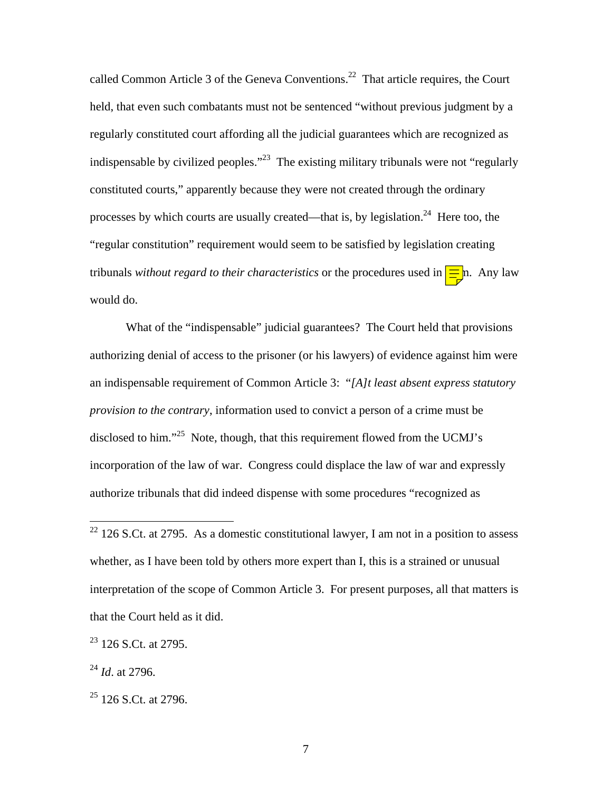called Common Article 3 of the Geneva Conventions.<sup>22</sup> That article requires, the Court held, that even such combatants must not be sentenced "without previous judgment by a regularly constituted court affording all the judicial guarantees which are recognized as indispensable by civilized peoples. $123$  The existing military tribunals were not "regularly" constituted courts," apparently because they were not created through the ordinary processes by which courts are usually created—that is, by legislation.<sup>24</sup> Here too, the "regular constitution" requirement would seem to be satisfied by legislation creating tribunals *without regard to their characteristics* or the procedures used in  $\frac{1}{\frac{1}{n}}$ . Any law would do.

What of the "indispensable" judicial guarantees? The Court held that provisions authorizing denial of access to the prisoner (or his lawyers) of evidence against him were an indispensable requirement of Common Article 3: "*[A]t least absent express statutory provision to the contrary*, information used to convict a person of a crime must be disclosed to him."<sup>25</sup> Note, though, that this requirement flowed from the UCMJ's incorporation of the law of war. Congress could displace the law of war and expressly authorize tribunals that did indeed dispense with some procedures "recognized as

 $\overline{a}$ 

<span id="page-6-0"></span> $22$  126 S.Ct. at 2795. As a domestic constitutional lawyer, I am not in a position to assess whether, as I have been told by others more expert than I, this is a strained or unusual interpretation of the scope of Common Article 3. For present purposes, all that matters is that the Court held as it did.

<span id="page-6-1"></span> $23$  126 S.Ct. at 2795.

<span id="page-6-2"></span><sup>24</sup> *Id*. at 2796.

<span id="page-6-3"></span> $25$  126 S.Ct. at 2796.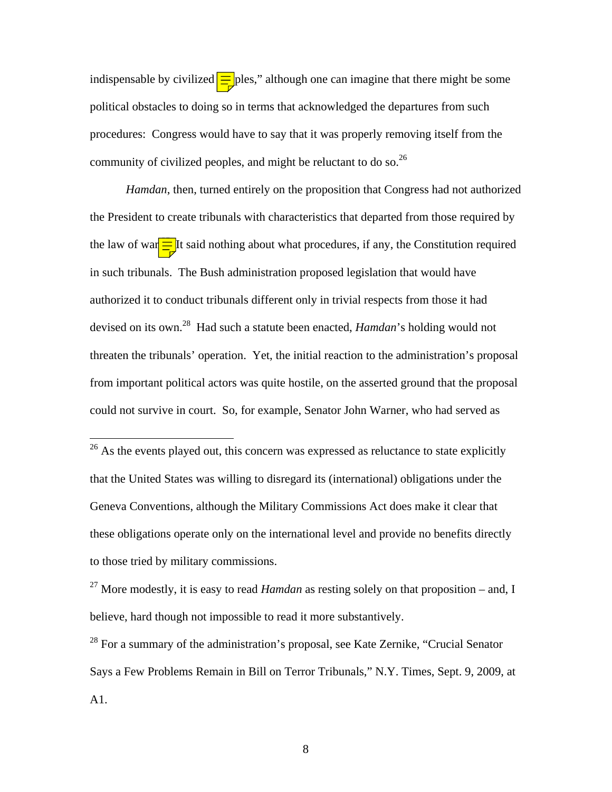indispensable by civilized  $\equiv$  ples," although one can imagine that there might be some political obstacles to doing so in terms that acknowledged the departures from such procedures: Congress would have to say that it was properly removing itself from the community of civilized peoples, and might be reluctant to do so.  $26$ 

*Hamdan*, then, turned entirely on the proposition that Congress had not authorized the President to create tribunals with characteristics that departed from those required by the law of war $\equiv$  It said nothing about what procedures, if any, the Constitution required in such tribunals. The Bush administration proposed legislation that would have authorized it to conduct tribunals different only in trivial respects from those it had devised on its own.[28](#page-7-2) Had such a statute been enacted, *Hamdan*'s holding would not threaten the tribunals' operation. Yet, the initial reaction to the administration's proposal from important political actors was quite hostile, on the asserted ground that the proposal could not survive in court. So, for example, Senator John Warner, who had served as

 $\overline{a}$ 

<span id="page-7-2"></span> $28$  For a summary of the administration's proposal, see Kate Zernike, "Crucial Senator" Says a Few Problems Remain in Bill on Terror Tribunals," N.Y. Times, Sept. 9, 2009, at A1.

<span id="page-7-0"></span> $26$  As the events played out, this concern was expressed as reluctance to state explicitly that the United States was willing to disregard its (international) obligations under the Geneva Conventions, although the Military Commissions Act does make it clear that these obligations operate only on the international level and provide no benefits directly to those tried by military commissions.

<span id="page-7-1"></span><sup>27</sup> More modestly, it is easy to read *Hamdan* as resting solely on that proposition – and, I believe, hard though not impossible to read it more substantively.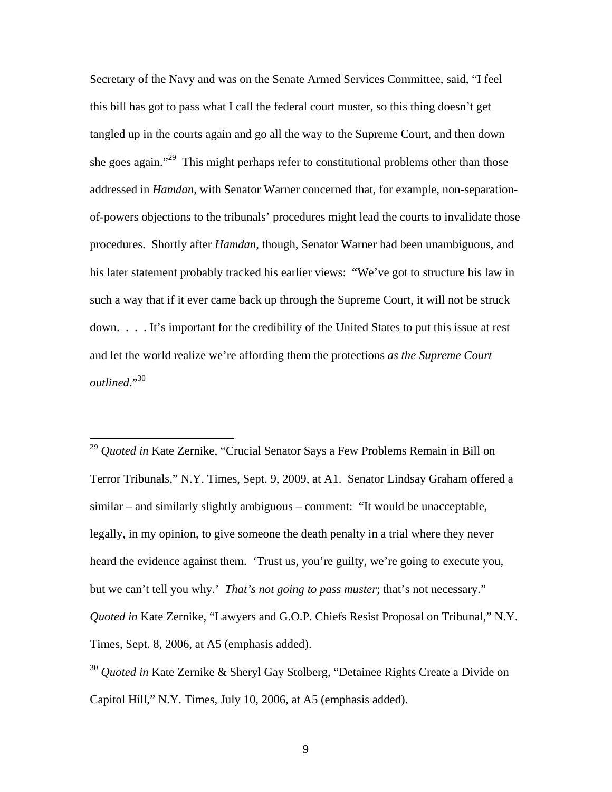Secretary of the Navy and was on the Senate Armed Services Committee, said, "I feel this bill has got to pass what I call the federal court muster, so this thing doesn't get tangled up in the courts again and go all the way to the Supreme Court, and then down she goes again."<sup>29</sup> This might perhaps refer to constitutional problems other than those addressed in *Hamdan*, with Senator Warner concerned that, for example, non-separationof-powers objections to the tribunals' procedures might lead the courts to invalidate those procedures. Shortly after *Hamdan*, though, Senator Warner had been unambiguous, and his later statement probably tracked his earlier views: "We've got to structure his law in such a way that if it ever came back up through the Supreme Court, it will not be struck down. . . . It's important for the credibility of the United States to put this issue at rest and let the world realize we're affording them the protections *as the Supreme Court outlined*."[30](#page-8-1)

<span id="page-8-0"></span><sup>29</sup> *Quoted in* Kate Zernike, "Crucial Senator Says a Few Problems Remain in Bill on Terror Tribunals," N.Y. Times, Sept. 9, 2009, at A1. Senator Lindsay Graham offered a similar – and similarly slightly ambiguous – comment: "It would be unacceptable, legally, in my opinion, to give someone the death penalty in a trial where they never heard the evidence against them. 'Trust us, you're guilty, we're going to execute you, but we can't tell you why.' *That's not going to pass muster*; that's not necessary." *Quoted in* Kate Zernike, "Lawyers and G.O.P. Chiefs Resist Proposal on Tribunal," N.Y. Times, Sept. 8, 2006, at A5 (emphasis added).

 $\overline{a}$ 

<span id="page-8-1"></span><sup>30</sup> *Quoted in* Kate Zernike & Sheryl Gay Stolberg, "Detainee Rights Create a Divide on Capitol Hill," N.Y. Times, July 10, 2006, at A5 (emphasis added).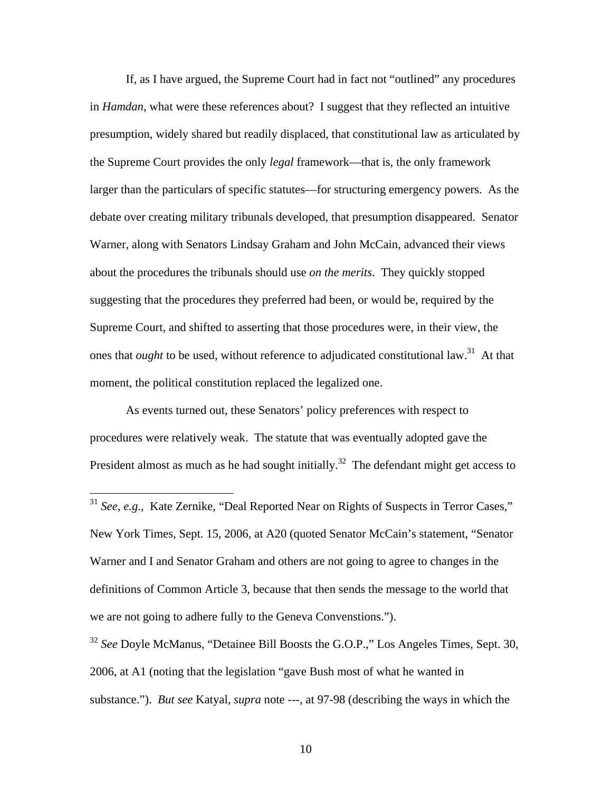If, as I have argued, the Supreme Court had in fact not "outlined" any procedures in *Hamdan*, what were these references about? I suggest that they reflected an intuitive presumption, widely shared but readily displaced, that constitutional law as articulated by the Supreme Court provides the only *legal* framework—that is, the only framework larger than the particulars of specific statutes—for structuring emergency powers. As the debate over creating military tribunals developed, that presumption disappeared. Senator Warner, along with Senators Lindsay Graham and John McCain, advanced their views about the procedures the tribunals should use *on the merits*. They quickly stopped suggesting that the procedures they preferred had been, or would be, required by the Supreme Court, and shifted to asserting that those procedures were, in their view, the ones that *ought* to be used, without reference to adjudicated constitutional law.<sup>31</sup> At that moment, the political constitution replaced the legalized one.

As events turned out, these Senators' policy preferences with respect to procedures were relatively weak. The statute that was eventually adopted gave the President almost as much as he had sought initially.<sup>32</sup> The defendant might get access to

<u>.</u>

<span id="page-9-1"></span><sup>32</sup> *See* Doyle McManus, "Detainee Bill Boosts the G.O.P.," Los Angeles Times, Sept. 30, 2006, at A1 (noting that the legislation "gave Bush most of what he wanted in substance."). *But see* Katyal, *supra* note ---, at 97-98 (describing the ways in which the

<span id="page-9-0"></span><sup>&</sup>lt;sup>31</sup> *See, e.g.*, Kate Zernike, "Deal Reported Near on Rights of Suspects in Terror Cases," New York Times, Sept. 15, 2006, at A20 (quoted Senator McCain's statement, "Senator Warner and I and Senator Graham and others are not going to agree to changes in the definitions of Common Article 3, because that then sends the message to the world that we are not going to adhere fully to the Geneva Convenstions.").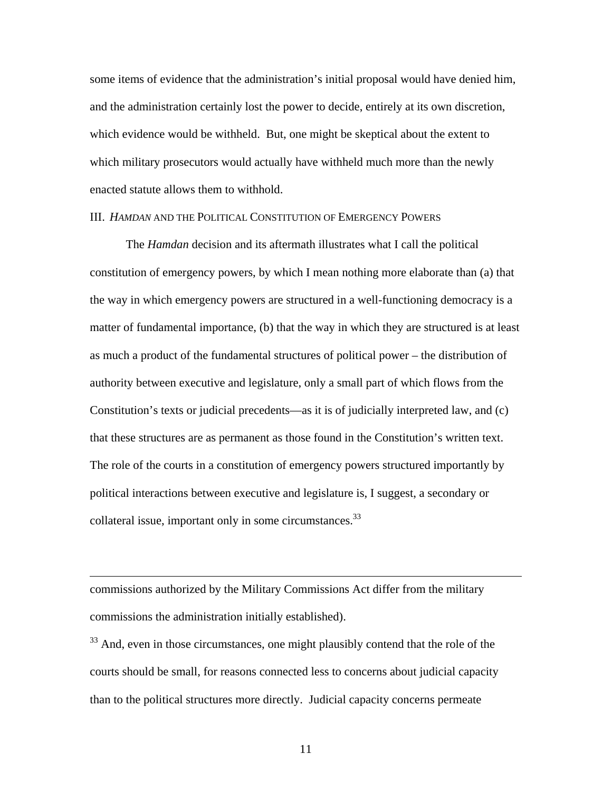some items of evidence that the administration's initial proposal would have denied him, and the administration certainly lost the power to decide, entirely at its own discretion, which evidence would be withheld. But, one might be skeptical about the extent to which military prosecutors would actually have withheld much more than the newly enacted statute allows them to withhold.

## III. *HAMDAN* AND THE POLITICAL CONSTITUTION OF EMERGENCY POWERS

The *Hamdan* decision and its aftermath illustrates what I call the political constitution of emergency powers, by which I mean nothing more elaborate than (a) that the way in which emergency powers are structured in a well-functioning democracy is a matter of fundamental importance, (b) that the way in which they are structured is at least as much a product of the fundamental structures of political power – the distribution of authority between executive and legislature, only a small part of which flows from the Constitution's texts or judicial precedents—as it is of judicially interpreted law, and (c) that these structures are as permanent as those found in the Constitution's written text. The role of the courts in a constitution of emergency powers structured importantly by political interactions between executive and legislature is, I suggest, a secondary or collateral issue, important only in some circumstances. $^{33}$ 

commissions authorized by the Military Commissions Act differ from the military commissions the administration initially established).

 $\overline{a}$ 

<span id="page-10-0"></span><sup>33</sup> And, even in those circumstances, one might plausibly contend that the role of the courts should be small, for reasons connected less to concerns about judicial capacity than to the political structures more directly. Judicial capacity concerns permeate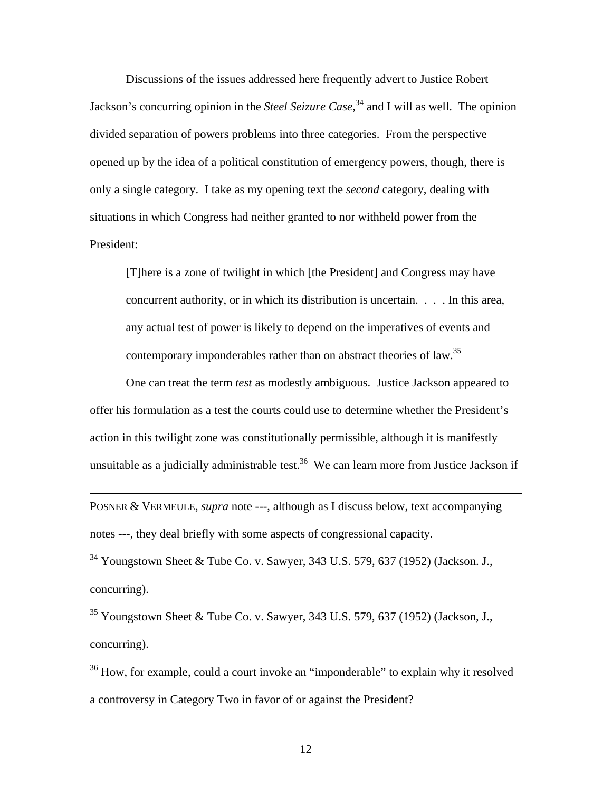Discussions of the issues addressed here frequently advert to Justice Robert Jackson's concurring opinion in the *Steel Seizure Case*, [34 a](#page-11-0)nd I will as well. The opinion divided separation of powers problems into three categories. From the perspective opened up by the idea of a political constitution of emergency powers, though, there is only a single category. I take as my opening text the *second* category, dealing with situations in which Congress had neither granted to nor withheld power from the President:

[T]here is a zone of twilight in which [the President] and Congress may have concurrent authority, or in which its distribution is uncertain. . . . In this area, any actual test of power is likely to depend on the imperatives of events and contemporary imponderables rather than on abstract theories of law.<sup>[35](#page-11-1)</sup>

One can treat the term *test* as modestly ambiguous. Justice Jackson appeared to offer his formulation as a test the courts could use to determine whether the President's action in this twilight zone was constitutionally permissible, although it is manifestly unsuitable as a judicially administrable test.<sup>36</sup> We can learn more from Justice Jackson if

POSNER & VERMEULE, *supra* note ---, although as I discuss below, text accompanying notes ---, they deal briefly with some aspects of congressional capacity.

<u>.</u>

<span id="page-11-0"></span>34 Youngstown Sheet & Tube Co. v. Sawyer, 343 U.S. 579, 637 (1952) (Jackson. J., concurring).

<span id="page-11-1"></span> $35$  Youngstown Sheet & Tube Co. v. Sawyer, 343 U.S. 579, 637 (1952) (Jackson, J., concurring).

<span id="page-11-2"></span><sup>36</sup> How, for example, could a court invoke an "imponderable" to explain why it resolved a controversy in Category Two in favor of or against the President?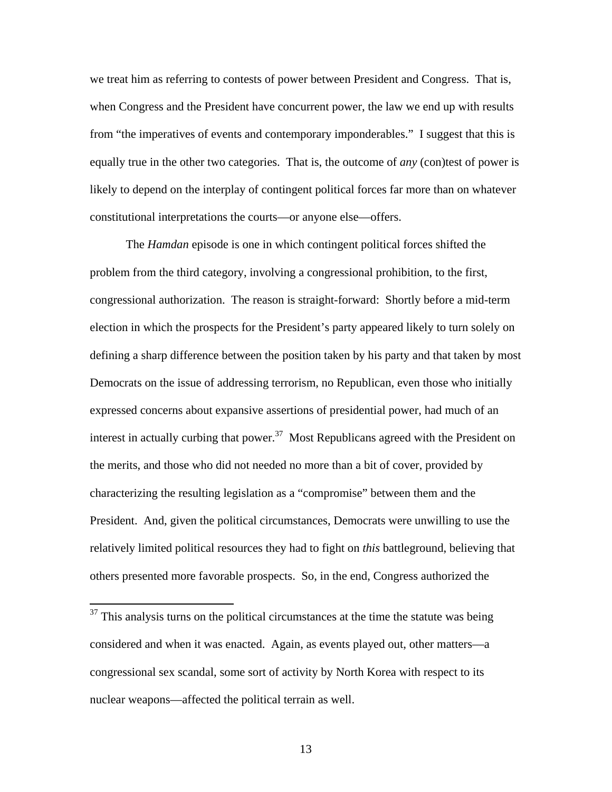we treat him as referring to contests of power between President and Congress. That is, when Congress and the President have concurrent power, the law we end up with results from "the imperatives of events and contemporary imponderables." I suggest that this is equally true in the other two categories. That is, the outcome of *any* (con)test of power is likely to depend on the interplay of contingent political forces far more than on whatever constitutional interpretations the courts—or anyone else—offers.

The *Hamdan* episode is one in which contingent political forces shifted the problem from the third category, involving a congressional prohibition, to the first, congressional authorization. The reason is straight-forward: Shortly before a mid-term election in which the prospects for the President's party appeared likely to turn solely on defining a sharp difference between the position taken by his party and that taken by most Democrats on the issue of addressing terrorism, no Republican, even those who initially expressed concerns about expansive assertions of presidential power, had much of an interest in actually curbing that power.<sup>37</sup> Most Republicans agreed with the President on the merits, and those who did not needed no more than a bit of cover, provided by characterizing the resulting legislation as a "compromise" between them and the President. And, given the political circumstances, Democrats were unwilling to use the relatively limited political resources they had to fight on *this* battleground, believing that others presented more favorable prospects. So, in the end, Congress authorized the

 $\overline{a}$ 

<span id="page-12-0"></span> $37$  This analysis turns on the political circumstances at the time the statute was being considered and when it was enacted. Again, as events played out, other matters—a congressional sex scandal, some sort of activity by North Korea with respect to its nuclear weapons—affected the political terrain as well.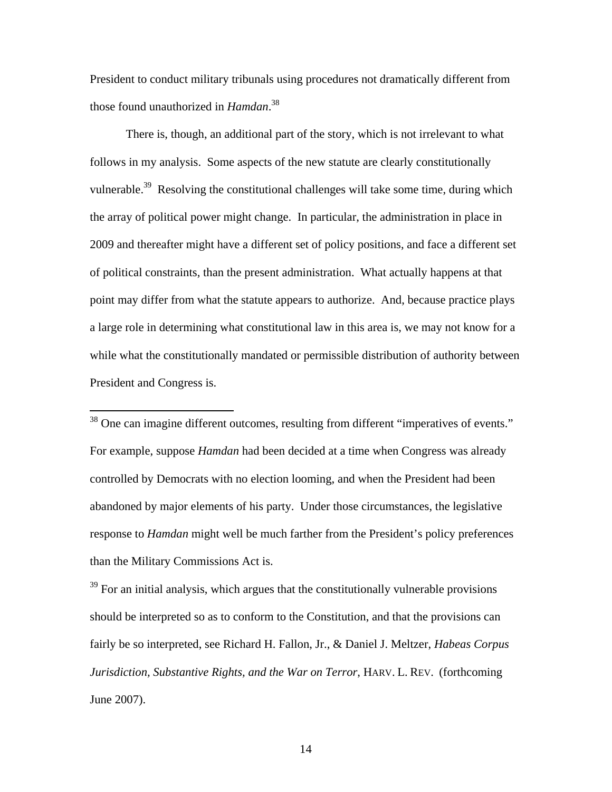President to conduct military tribunals using procedures not dramatically different from those found unauthorized in *Hamdan*. [38](#page-13-0)

There is, though, an additional part of the story, which is not irrelevant to what follows in my analysis. Some aspects of the new statute are clearly constitutionally vulnerable.<sup>39</sup> Resolving the constitutional challenges will take some time, during which the array of political power might change. In particular, the administration in place in 2009 and thereafter might have a different set of policy positions, and face a different set of political constraints, than the present administration. What actually happens at that point may differ from what the statute appears to authorize. And, because practice plays a large role in determining what constitutional law in this area is, we may not know for a while what the constitutionally mandated or permissible distribution of authority between President and Congress is.

<span id="page-13-0"></span><sup>38</sup> One can imagine different outcomes, resulting from different "imperatives of events." For example, suppose *Hamdan* had been decided at a time when Congress was already controlled by Democrats with no election looming, and when the President had been abandoned by major elements of his party. Under those circumstances, the legislative response to *Hamdan* might well be much farther from the President's policy preferences than the Military Commissions Act is.

 $\overline{a}$ 

<span id="page-13-1"></span> $39$  For an initial analysis, which argues that the constitutionally vulnerable provisions should be interpreted so as to conform to the Constitution, and that the provisions can fairly be so interpreted, see Richard H. Fallon, Jr., & Daniel J. Meltzer, *Habeas Corpus Jurisdiction, Substantive Rights, and the War on Terror*, HARV. L. REV. (forthcoming June 2007).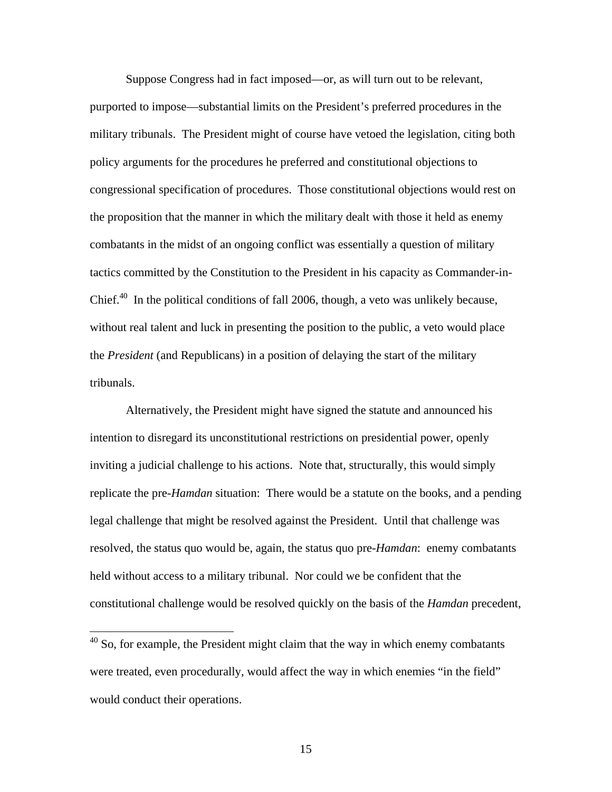Suppose Congress had in fact imposed—or, as will turn out to be relevant, purported to impose—substantial limits on the President's preferred procedures in the military tribunals. The President might of course have vetoed the legislation, citing both policy arguments for the procedures he preferred and constitutional objections to congressional specification of procedures. Those constitutional objections would rest on the proposition that the manner in which the military dealt with those it held as enemy combatants in the midst of an ongoing conflict was essentially a question of military tactics committed by the Constitution to the President in his capacity as Commander-in-Chief. $40$  In the political conditions of fall 2006, though, a veto was unlikely because, without real talent and luck in presenting the position to the public, a veto would place the *President* (and Republicans) in a position of delaying the start of the military tribunals.

Alternatively, the President might have signed the statute and announced his intention to disregard its unconstitutional restrictions on presidential power, openly inviting a judicial challenge to his actions. Note that, structurally, this would simply replicate the pre-*Hamdan* situation: There would be a statute on the books, and a pending legal challenge that might be resolved against the President. Until that challenge was resolved, the status quo would be, again, the status quo pre-*Hamdan*: enemy combatants held without access to a military tribunal. Nor could we be confident that the constitutional challenge would be resolved quickly on the basis of the *Hamdan* precedent,

 $\overline{a}$ 

<span id="page-14-0"></span> $40$  So, for example, the President might claim that the way in which enemy combatants were treated, even procedurally, would affect the way in which enemies "in the field" would conduct their operations.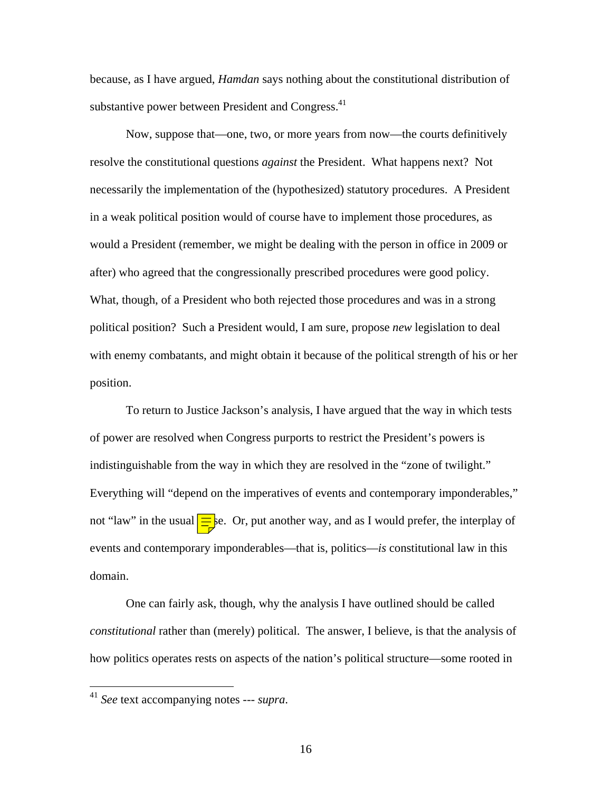because, as I have argued, *Hamdan* says nothing about the constitutional distribution of substantive power between President and Congress.<sup>[41](#page-15-0)</sup>

Now, suppose that—one, two, or more years from now—the courts definitively resolve the constitutional questions *against* the President. What happens next? Not necessarily the implementation of the (hypothesized) statutory procedures. A President in a weak political position would of course have to implement those procedures, as would a President (remember, we might be dealing with the person in office in 2009 or after) who agreed that the congressionally prescribed procedures were good policy. What, though, of a President who both rejected those procedures and was in a strong political position? Such a President would, I am sure, propose *new* legislation to deal with enemy combatants, and might obtain it because of the political strength of his or her position.

To return to Justice Jackson's analysis, I have argued that the way in which tests of power are resolved when Congress purports to restrict the President's powers is indistinguishable from the way in which they are resolved in the "zone of twilight." Everything will "depend on the imperatives of events and contemporary imponderables," not "law" in the usual  $\equiv$  se. Or, put another way, and as I would prefer, the interplay of events and contemporary imponderables—that is, politics—*is* constitutional law in this domain.

One can fairly ask, though, why the analysis I have outlined should be called *constitutional* rather than (merely) political. The answer, I believe, is that the analysis of how politics operates rests on aspects of the nation's political structure—some rooted in

 $\overline{a}$ 

<span id="page-15-0"></span><sup>41</sup> *See* text accompanying notes --- *supra*.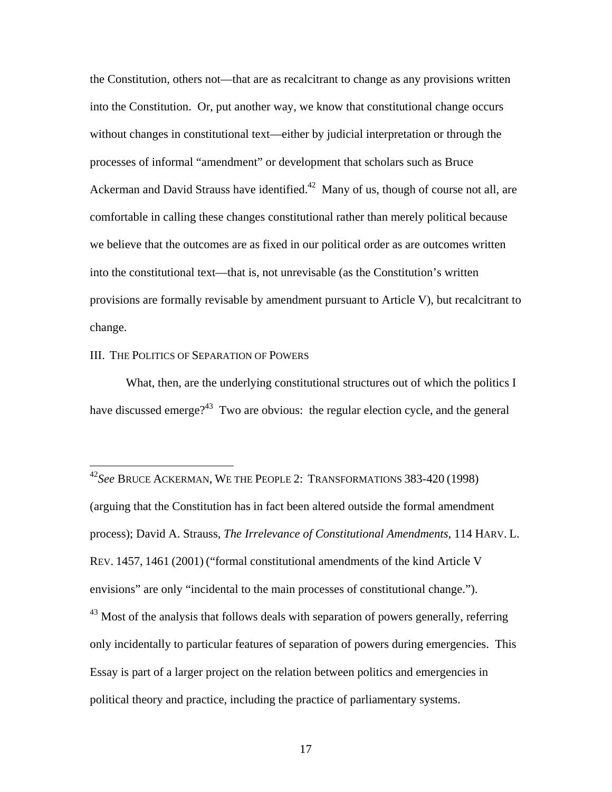the Constitution, others not—that are as recalcitrant to change as any provisions written into the Constitution. Or, put another way, we know that constitutional change occurs without changes in constitutional text—either by judicial interpretation or through the processes of informal "amendment" or development that scholars such as Bruce Ackerman and David Strauss have identified.<sup>42</sup> Many of us, though of course not all, are comfortable in calling these changes constitutional rather than merely political because we believe that the outcomes are as fixed in our political order as are outcomes written into the constitutional text—that is, not unrevisable (as the Constitution's written provisions are formally revisable by amendment pursuant to Article V), but recalcitrant to change.

#### III. THE POLITICS OF SEPARATION OF POWERS

1

What, then, are the underlying constitutional structures out of which the politics I have discussed emerge?<sup>43</sup> Two are obvious: the regular election cycle, and the general

<span id="page-16-1"></span>only incidentally to particular features of separation of powers during emergencies. This Essay is part of a larger project on the relation between politics and emergencies in political theory and practice, including the practice of parliamentary systems.

<span id="page-16-0"></span><sup>42</sup>*See* BRUCE ACKERMAN, WE THE PEOPLE 2: TRANSFORMATIONS 383-420 (1998) (arguing that the Constitution has in fact been altered outside the formal amendment process); David A. Strauss, *The Irrelevance of Constitutional Amendments*, 114 HARV. L. REV. 1457, 1461 (2001) ("formal constitutional amendments of the kind Article V envisions" are only "incidental to the main processes of constitutional change.").  $^{43}$  Most of the analysis that follows deals with separation of powers generally, referring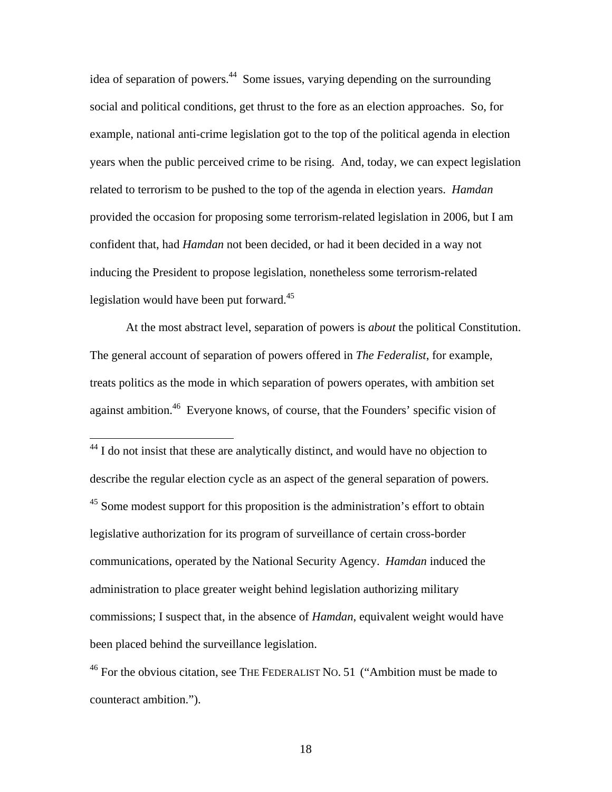idea of separation of powers.<sup>44</sup> Some issues, varying depending on the surrounding social and political conditions, get thrust to the fore as an election approaches. So, for example, national anti-crime legislation got to the top of the political agenda in election years when the public perceived crime to be rising. And, today, we can expect legislation related to terrorism to be pushed to the top of the agenda in election years. *Hamdan* provided the occasion for proposing some terrorism-related legislation in 2006, but I am confident that, had *Hamdan* not been decided, or had it been decided in a way not inducing the President to propose legislation, nonetheless some terrorism-related legislation would have been put forward. $45$ 

At the most abstract level, separation of powers is *about* the political Constitution. The general account of separation of powers offered in *The Federalist*, for example, treats politics as the mode in which separation of powers operates, with ambition set against ambition.<sup>46</sup> Everyone knows, of course, that the Founders' specific vision of

<span id="page-17-1"></span><span id="page-17-0"></span> $44$  I do not insist that these are analytically distinct, and would have no objection to describe the regular election cycle as an aspect of the general separation of powers. <sup>45</sup> Some modest support for this proposition is the administration's effort to obtain legislative authorization for its program of surveillance of certain cross-border communications, operated by the National Security Agency. *Hamdan* induced the administration to place greater weight behind legislation authorizing military commissions; I suspect that, in the absence of *Hamdan*, equivalent weight would have been placed behind the surveillance legislation.

1

<span id="page-17-2"></span> $46$  For the obvious citation, see THE FEDERALIST NO. 51 ("Ambition must be made to counteract ambition.").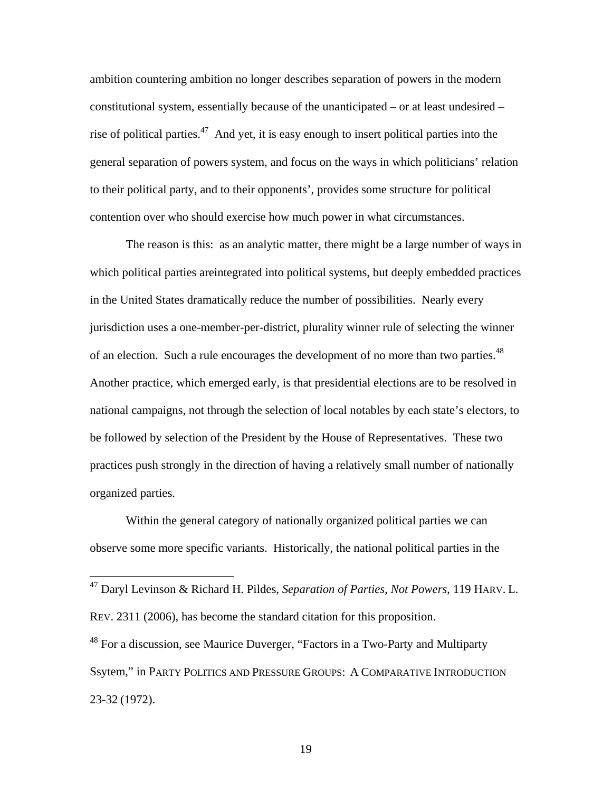ambition countering ambition no longer describes separation of powers in the modern constitutional system, essentially because of the unanticipated – or at least undesired – rise of political parties.<sup>47</sup> And yet, it is easy enough to insert political parties into the general separation of powers system, and focus on the ways in which politicians' relation to their political party, and to their opponents', provides some structure for political contention over who should exercise how much power in what circumstances.

The reason is this: as an analytic matter, there might be a large number of ways in which political parties areintegrated into political systems, but deeply embedded practices in the United States dramatically reduce the number of possibilities. Nearly every jurisdiction uses a one-member-per-district, plurality winner rule of selecting the winner of an election. Such a rule encourages the development of no more than two parties.<sup>48</sup> Another practice, which emerged early, is that presidential elections are to be resolved in national campaigns, not through the selection of local notables by each state's electors, to be followed by selection of the President by the House of Representatives. These two practices push strongly in the direction of having a relatively small number of nationally organized parties.

Within the general category of nationally organized political parties we can observe some more specific variants. Historically, the national political parties in the

<span id="page-18-0"></span><sup>47</sup> Daryl Levinson & Richard H. Pildes, *Separation of Parties, Not Powers*, 119 HARV. L. REV. 2311 (2006), has become the standard citation for this proposition.

<span id="page-18-1"></span><sup>48</sup> For a discussion, see Maurice Duverger, "Factors in a Two-Party and Multiparty Ssytem," in PARTY POLITICS AND PRESSURE GROUPS: A COMPARATIVE INTRODUCTION 23-32 (1972).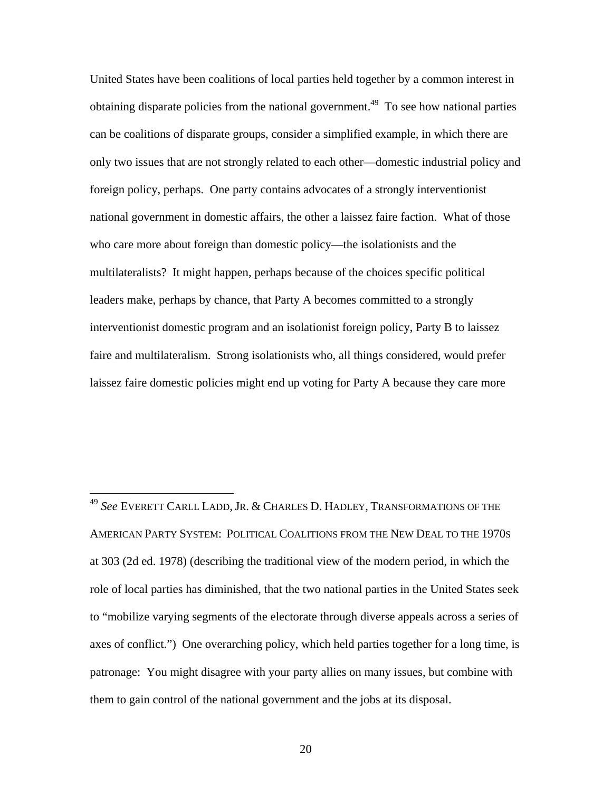United States have been coalitions of local parties held together by a common interest in obtaining disparate policies from the national government.<sup>49</sup> To see how national parties can be coalitions of disparate groups, consider a simplified example, in which there are only two issues that are not strongly related to each other—domestic industrial policy and foreign policy, perhaps. One party contains advocates of a strongly interventionist national government in domestic affairs, the other a laissez faire faction. What of those who care more about foreign than domestic policy—the isolationists and the multilateralists? It might happen, perhaps because of the choices specific political leaders make, perhaps by chance, that Party A becomes committed to a strongly interventionist domestic program and an isolationist foreign policy, Party B to laissez faire and multilateralism. Strong isolationists who, all things considered, would prefer laissez faire domestic policies might end up voting for Party A because they care more

<span id="page-19-0"></span><sup>49</sup> *See* EVERETT CARLL LADD, JR. & CHARLES D. HADLEY, TRANSFORMATIONS OF THE AMERICAN PARTY SYSTEM: POLITICAL COALITIONS FROM THE NEW DEAL TO THE 1970S at 303 (2d ed. 1978) (describing the traditional view of the modern period, in which the role of local parties has diminished, that the two national parties in the United States seek to "mobilize varying segments of the electorate through diverse appeals across a series of axes of conflict.") One overarching policy, which held parties together for a long time, is patronage: You might disagree with your party allies on many issues, but combine with them to gain control of the national government and the jobs at its disposal.

<u>.</u>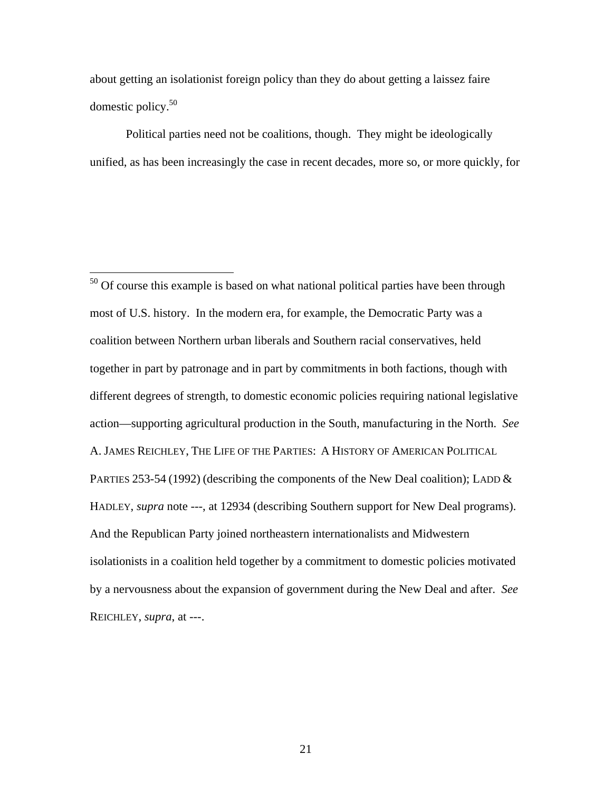about getting an isolationist foreign policy than they do about getting a laissez faire domestic policy.[50](#page-20-0)

 $\overline{a}$ 

Political parties need not be coalitions, though. They might be ideologically unified, as has been increasingly the case in recent decades, more so, or more quickly, for

<span id="page-20-0"></span> $50$  Of course this example is based on what national political parties have been through most of U.S. history. In the modern era, for example, the Democratic Party was a coalition between Northern urban liberals and Southern racial conservatives, held together in part by patronage and in part by commitments in both factions, though with different degrees of strength, to domestic economic policies requiring national legislative action—supporting agricultural production in the South, manufacturing in the North. *See* A. JAMES REICHLEY, THE LIFE OF THE PARTIES: A HISTORY OF AMERICAN POLITICAL PARTIES 253-54 (1992) (describing the components of the New Deal coalition); LADD & HADLEY, *supra* note ---, at 12934 (describing Southern support for New Deal programs). And the Republican Party joined northeastern internationalists and Midwestern isolationists in a coalition held together by a commitment to domestic policies motivated by a nervousness about the expansion of government during the New Deal and after. *See* REICHLEY, *supra*, at ---.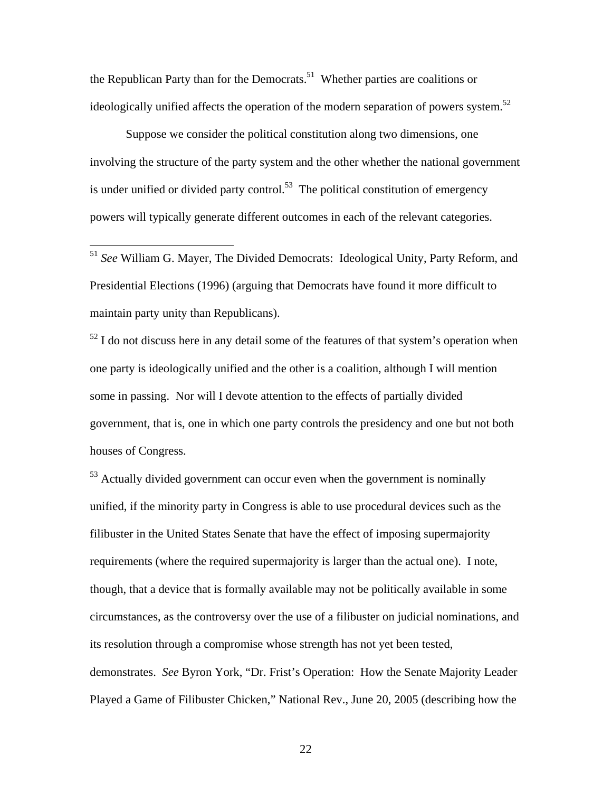the Republican Party than for the Democrats.<sup>51</sup> Whether parties are coalitions or ideologically unified affects the operation of the modern separation of powers system.<sup>[52](#page-21-1)</sup>

Suppose we consider the political constitution along two dimensions, one involving the structure of the party system and the other whether the national government is under unified or divided party control.<sup>53</sup> The political constitution of emergency powers will typically generate different outcomes in each of the relevant categories.

<span id="page-21-0"></span><sup>51</sup> *See* William G. Mayer, The Divided Democrats: Ideological Unity, Party Reform, and Presidential Elections (1996) (arguing that Democrats have found it more difficult to maintain party unity than Republicans).

 $\overline{a}$ 

<span id="page-21-1"></span> $52$  I do not discuss here in any detail some of the features of that system's operation when one party is ideologically unified and the other is a coalition, although I will mention some in passing. Nor will I devote attention to the effects of partially divided government, that is, one in which one party controls the presidency and one but not both houses of Congress.

<span id="page-21-2"></span> $53$  Actually divided government can occur even when the government is nominally unified, if the minority party in Congress is able to use procedural devices such as the filibuster in the United States Senate that have the effect of imposing supermajority requirements (where the required supermajority is larger than the actual one). I note, though, that a device that is formally available may not be politically available in some circumstances, as the controversy over the use of a filibuster on judicial nominations, and its resolution through a compromise whose strength has not yet been tested, demonstrates. *See* Byron York, "Dr. Frist's Operation: How the Senate Majority Leader Played a Game of Filibuster Chicken," National Rev., June 20, 2005 (describing how the

<u>22</u>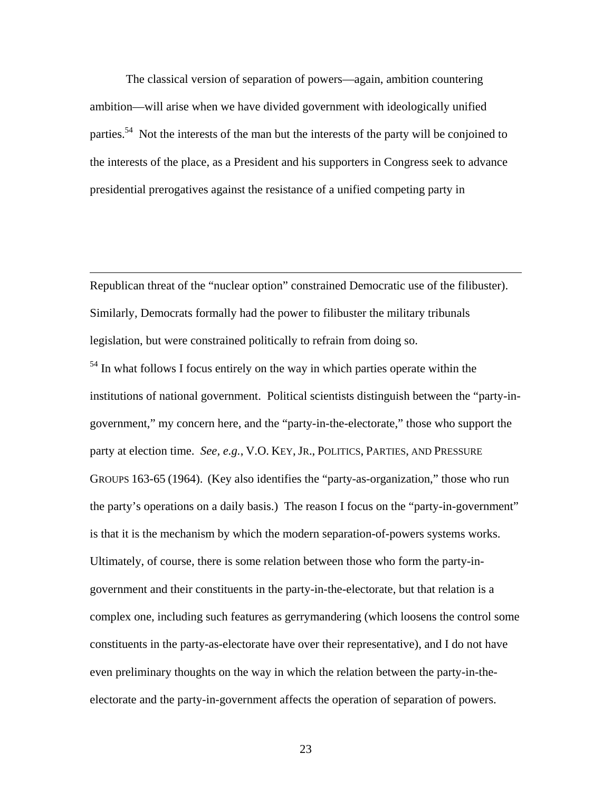The classical version of separation of powers—again, ambition countering ambition—will arise when we have divided government with ideologically unified parties.<sup>54</sup> Not the interests of the man but the interests of the party will be conjoined to the interests of the place, as a President and his supporters in Congress seek to advance presidential prerogatives against the resistance of a unified competing party in

Republican threat of the "nuclear option" constrained Democratic use of the filibuster). Similarly, Democrats formally had the power to filibuster the military tribunals legislation, but were constrained politically to refrain from doing so.

 $\overline{a}$ 

<span id="page-22-0"></span><sup>54</sup> In what follows I focus entirely on the way in which parties operate within the institutions of national government. Political scientists distinguish between the "party-ingovernment," my concern here, and the "party-in-the-electorate," those who support the party at election time. *See, e.g.*, V.O. KEY, JR., POLITICS, PARTIES, AND PRESSURE GROUPS 163-65 (1964). (Key also identifies the "party-as-organization," those who run the party's operations on a daily basis.) The reason I focus on the "party-in-government" is that it is the mechanism by which the modern separation-of-powers systems works. Ultimately, of course, there is some relation between those who form the party-ingovernment and their constituents in the party-in-the-electorate, but that relation is a complex one, including such features as gerrymandering (which loosens the control some constituents in the party-as-electorate have over their representative), and I do not have even preliminary thoughts on the way in which the relation between the party-in-theelectorate and the party-in-government affects the operation of separation of powers.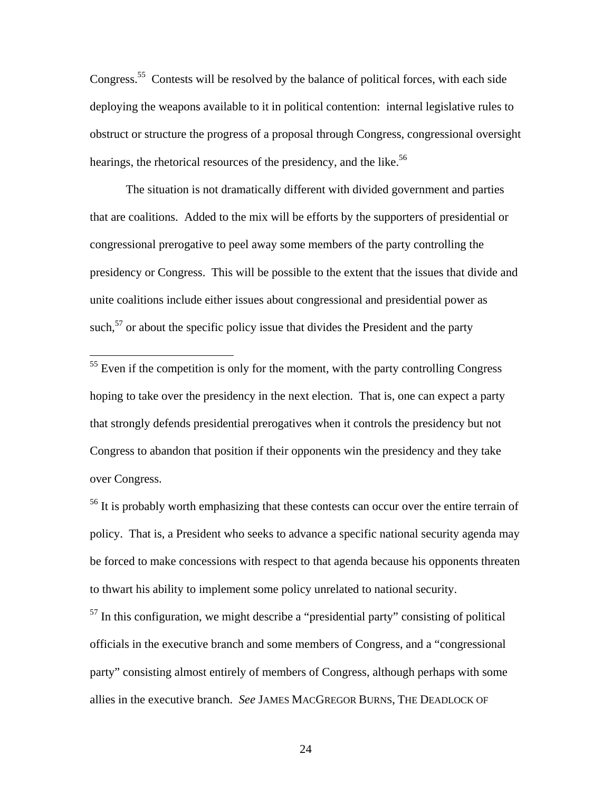Congress.<sup>55</sup> Contests will be resolved by the balance of political forces, with each side deploying the weapons available to it in political contention: internal legislative rules to obstruct or structure the progress of a proposal through Congress, congressional oversight hearings, the rhetorical resources of the presidency, and the like.<sup>[56](#page-23-1)</sup>

The situation is not dramatically different with divided government and parties that are coalitions. Added to the mix will be efforts by the supporters of presidential or congressional prerogative to peel away some members of the party controlling the presidency or Congress. This will be possible to the extent that the issues that divide and unite coalitions include either issues about congressional and presidential power as such, $57$  or about the specific policy issue that divides the President and the party

<u>.</u>

<span id="page-23-2"></span> $57$  In this configuration, we might describe a "presidential party" consisting of political officials in the executive branch and some members of Congress, and a "congressional party" consisting almost entirely of members of Congress, although perhaps with some allies in the executive branch. *See* JAMES MACGREGOR BURNS, THE DEADLOCK OF

<span id="page-23-0"></span> $55$  Even if the competition is only for the moment, with the party controlling Congress hoping to take over the presidency in the next election. That is, one can expect a party that strongly defends presidential prerogatives when it controls the presidency but not Congress to abandon that position if their opponents win the presidency and they take over Congress.

<span id="page-23-1"></span> $<sup>56</sup>$  It is probably worth emphasizing that these contests can occur over the entire terrain of</sup> policy. That is, a President who seeks to advance a specific national security agenda may be forced to make concessions with respect to that agenda because his opponents threaten to thwart his ability to implement some policy unrelated to national security.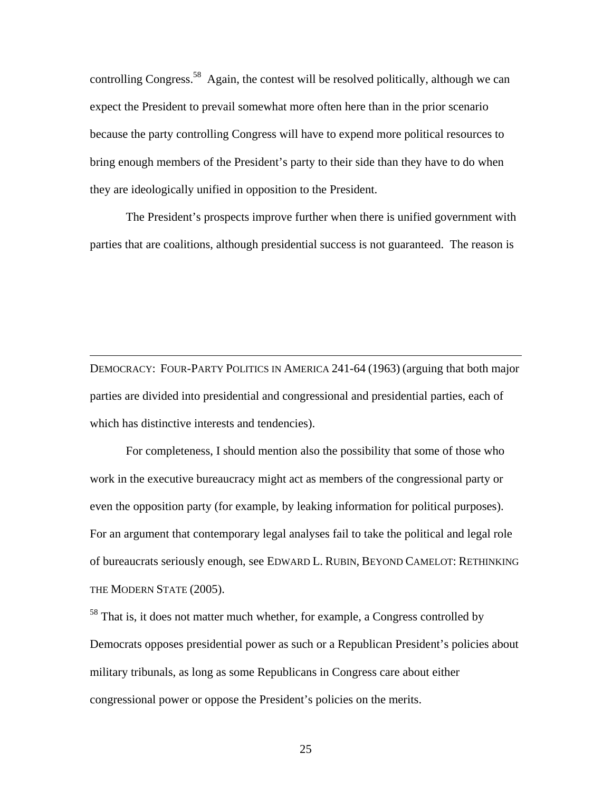controlling Congress.<sup>58</sup> Again, the contest will be resolved politically, although we can expect the President to prevail somewhat more often here than in the prior scenario because the party controlling Congress will have to expend more political resources to bring enough members of the President's party to their side than they have to do when they are ideologically unified in opposition to the President.

The President's prospects improve further when there is unified government with parties that are coalitions, although presidential success is not guaranteed. The reason is

DEMOCRACY: FOUR-PARTY POLITICS IN AMERICA 241-64 (1963) (arguing that both major parties are divided into presidential and congressional and presidential parties, each of which has distinctive interests and tendencies).

 $\overline{a}$ 

For completeness, I should mention also the possibility that some of those who work in the executive bureaucracy might act as members of the congressional party or even the opposition party (for example, by leaking information for political purposes). For an argument that contemporary legal analyses fail to take the political and legal role of bureaucrats seriously enough, see EDWARD L. RUBIN, BEYOND CAMELOT: RETHINKING THE MODERN STATE (2005).

<span id="page-24-0"></span><sup>58</sup> That is, it does not matter much whether, for example, a Congress controlled by Democrats opposes presidential power as such or a Republican President's policies about military tribunals, as long as some Republicans in Congress care about either congressional power or oppose the President's policies on the merits.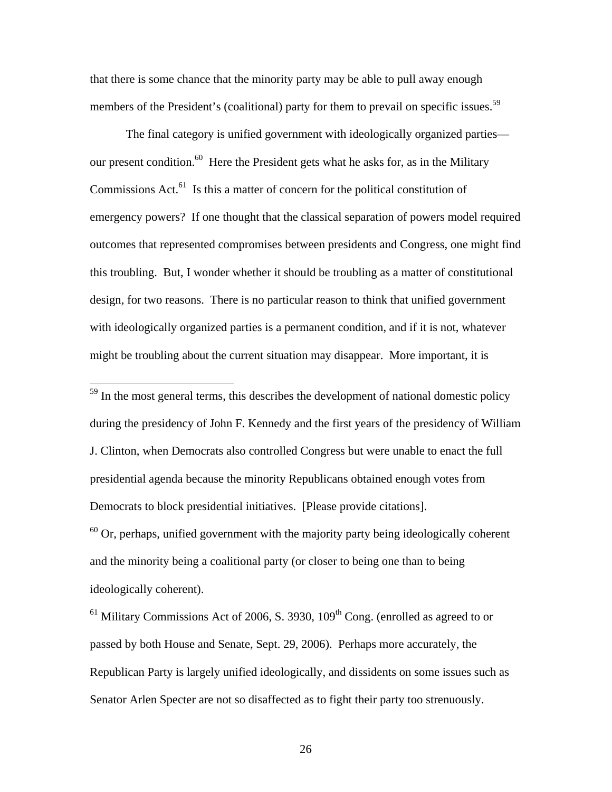that there is some chance that the minority party may be able to pull away enough members of the President's (coalitional) party for them to prevail on specific issues.<sup>[59](#page-25-0)</sup>

The final category is unified government with ideologically organized parties our present condition.<sup>60</sup> Here the President gets what he asks for, as in the Military Commissions Act. $^{61}$  Is this a matter of concern for the political constitution of emergency powers? If one thought that the classical separation of powers model required outcomes that represented compromises between presidents and Congress, one might find this troubling. But, I wonder whether it should be troubling as a matter of constitutional design, for two reasons. There is no particular reason to think that unified government with ideologically organized parties is a permanent condition, and if it is not, whatever might be troubling about the current situation may disappear. More important, it is

<span id="page-25-0"></span> $59$  In the most general terms, this describes the development of national domestic policy during the presidency of John F. Kennedy and the first years of the presidency of William J. Clinton, when Democrats also controlled Congress but were unable to enact the full presidential agenda because the minority Republicans obtained enough votes from Democrats to block presidential initiatives. [Please provide citations].  $60$  Or, perhaps, unified government with the majority party being ideologically coherent and the minority being a coalitional party (or closer to being one than to being ideologically coherent).

1

<span id="page-25-2"></span><span id="page-25-1"></span> $<sup>61</sup>$  Military Commissions Act of 2006, S. 3930, 109<sup>th</sup> Cong. (enrolled as agreed to or</sup> passed by both House and Senate, Sept. 29, 2006). Perhaps more accurately, the Republican Party is largely unified ideologically, and dissidents on some issues such as Senator Arlen Specter are not so disaffected as to fight their party too strenuously.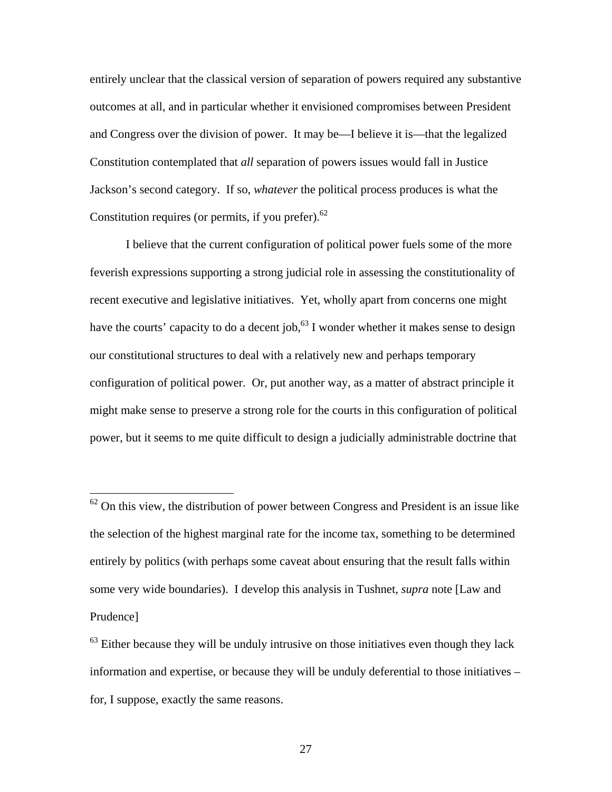entirely unclear that the classical version of separation of powers required any substantive outcomes at all, and in particular whether it envisioned compromises between President and Congress over the division of power. It may be—I believe it is—that the legalized Constitution contemplated that *all* separation of powers issues would fall in Justice Jackson's second category. If so, *whatever* the political process produces is what the Constitution requires (or permits, if you prefer). $62$ 

I believe that the current configuration of political power fuels some of the more feverish expressions supporting a strong judicial role in assessing the constitutionality of recent executive and legislative initiatives. Yet, wholly apart from concerns one might have the courts' capacity to do a decent job,<sup>63</sup> I wonder whether it makes sense to design our constitutional structures to deal with a relatively new and perhaps temporary configuration of political power. Or, put another way, as a matter of abstract principle it might make sense to preserve a strong role for the courts in this configuration of political power, but it seems to me quite difficult to design a judicially administrable doctrine that

<u>.</u>

<span id="page-26-0"></span> $62$  On this view, the distribution of power between Congress and President is an issue like the selection of the highest marginal rate for the income tax, something to be determined entirely by politics (with perhaps some caveat about ensuring that the result falls within some very wide boundaries). I develop this analysis in Tushnet, *supra* note [Law and Prudence]

<span id="page-26-1"></span> $63$  Either because they will be unduly intrusive on those initiatives even though they lack information and expertise, or because they will be unduly deferential to those initiatives – for, I suppose, exactly the same reasons.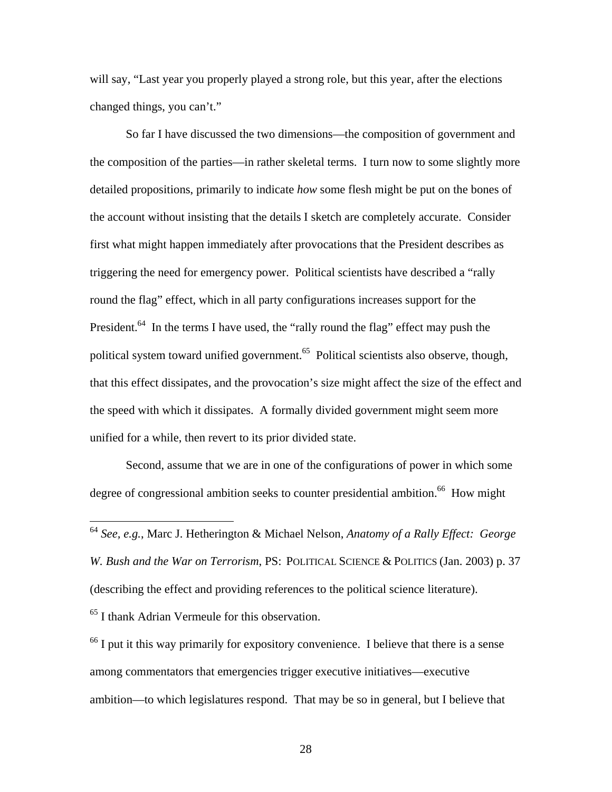will say, "Last year you properly played a strong role, but this year, after the elections changed things, you can't."

So far I have discussed the two dimensions—the composition of government and the composition of the parties—in rather skeletal terms. I turn now to some slightly more detailed propositions, primarily to indicate *how* some flesh might be put on the bones of the account without insisting that the details I sketch are completely accurate. Consider first what might happen immediately after provocations that the President describes as triggering the need for emergency power. Political scientists have described a "rally round the flag" effect, which in all party configurations increases support for the President.<sup>64</sup> In the terms I have used, the "rally round the flag" effect may push the political system toward unified government.<sup>65</sup> Political scientists also observe, though, that this effect dissipates, and the provocation's size might affect the size of the effect and the speed with which it dissipates. A formally divided government might seem more unified for a while, then revert to its prior divided state.

Second, assume that we are in one of the configurations of power in which some degree of congressional ambition seeks to counter presidential ambition.<sup>66</sup> How might

<span id="page-27-1"></span> $65$  I thank Adrian Vermeule for this observation.

1

<span id="page-27-2"></span> $66$  I put it this way primarily for expository convenience. I believe that there is a sense among commentators that emergencies trigger executive initiatives—executive ambition—to which legislatures respond. That may be so in general, but I believe that

<span id="page-27-0"></span><sup>64</sup> *See, e.g.*, Marc J. Hetherington & Michael Nelson, *Anatomy of a Rally Effect: George W. Bush and the War on Terrorism*, PS: POLITICAL SCIENCE & POLITICS (Jan. 2003) p. 37 (describing the effect and providing references to the political science literature).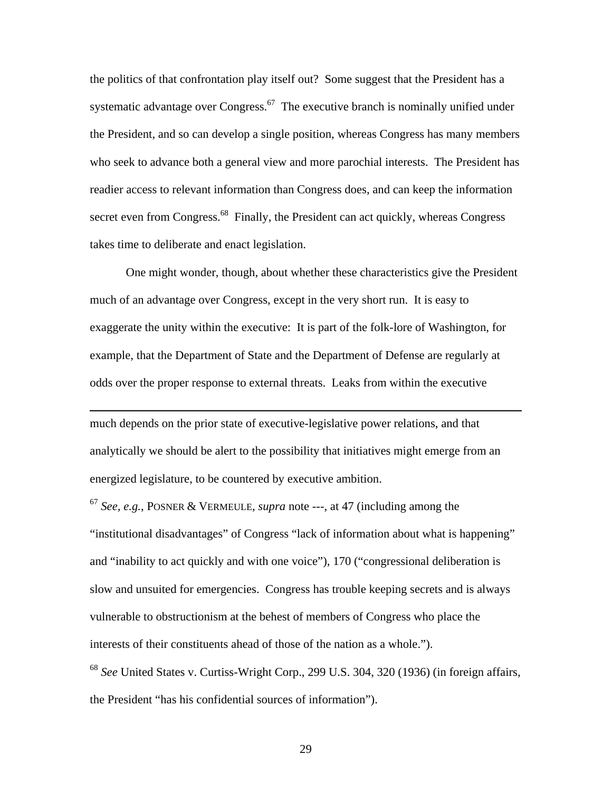the politics of that confrontation play itself out? Some suggest that the President has a systematic advantage over Congress.<sup>67</sup> The executive branch is nominally unified under the President, and so can develop a single position, whereas Congress has many members who seek to advance both a general view and more parochial interests. The President has readier access to relevant information than Congress does, and can keep the information secret even from Congress.<sup>68</sup> Finally, the President can act quickly, whereas Congress takes time to deliberate and enact legislation.

One might wonder, though, about whether these characteristics give the President much of an advantage over Congress, except in the very short run. It is easy to exaggerate the unity within the executive: It is part of the folk-lore of Washington, for example, that the Department of State and the Department of Defense are regularly at odds over the proper response to external threats. Leaks from within the executive

much depends on the prior state of executive-legislative power relations, and that analytically we should be alert to the possibility that initiatives might emerge from an energized legislature, to be countered by executive ambition.

 $\overline{a}$ 

<span id="page-28-1"></span><span id="page-28-0"></span><sup>67</sup> *See, e.g.*, POSNER & VERMEULE, *supra* note ---, at 47 (including among the "institutional disadvantages" of Congress "lack of information about what is happening" and "inability to act quickly and with one voice"), 170 ("congressional deliberation is slow and unsuited for emergencies. Congress has trouble keeping secrets and is always vulnerable to obstructionism at the behest of members of Congress who place the interests of their constituents ahead of those of the nation as a whole."). <sup>68</sup> *See* United States v. Curtiss-Wright Corp., 299 U.S. 304, 320 (1936) (in foreign affairs, the President "has his confidential sources of information").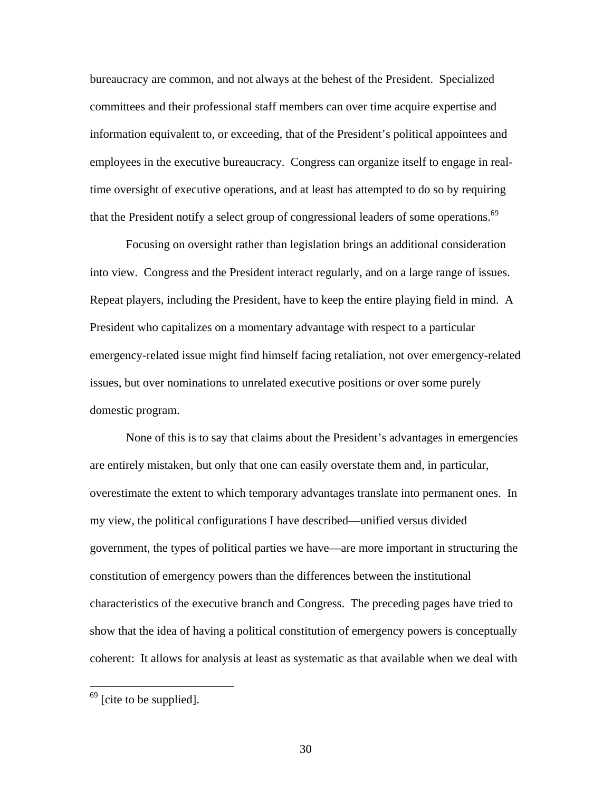bureaucracy are common, and not always at the behest of the President. Specialized committees and their professional staff members can over time acquire expertise and information equivalent to, or exceeding, that of the President's political appointees and employees in the executive bureaucracy. Congress can organize itself to engage in realtime oversight of executive operations, and at least has attempted to do so by requiring that the President notify a select group of congressional leaders of some operations.<sup>69</sup>

Focusing on oversight rather than legislation brings an additional consideration into view. Congress and the President interact regularly, and on a large range of issues. Repeat players, including the President, have to keep the entire playing field in mind. A President who capitalizes on a momentary advantage with respect to a particular emergency-related issue might find himself facing retaliation, not over emergency-related issues, but over nominations to unrelated executive positions or over some purely domestic program.

None of this is to say that claims about the President's advantages in emergencies are entirely mistaken, but only that one can easily overstate them and, in particular, overestimate the extent to which temporary advantages translate into permanent ones. In my view, the political configurations I have described—unified versus divided government, the types of political parties we have—are more important in structuring the constitution of emergency powers than the differences between the institutional characteristics of the executive branch and Congress. The preceding pages have tried to show that the idea of having a political constitution of emergency powers is conceptually coherent: It allows for analysis at least as systematic as that available when we deal with

 $\overline{a}$ 

<span id="page-29-0"></span> $<sup>69</sup>$  [cite to be supplied].</sup>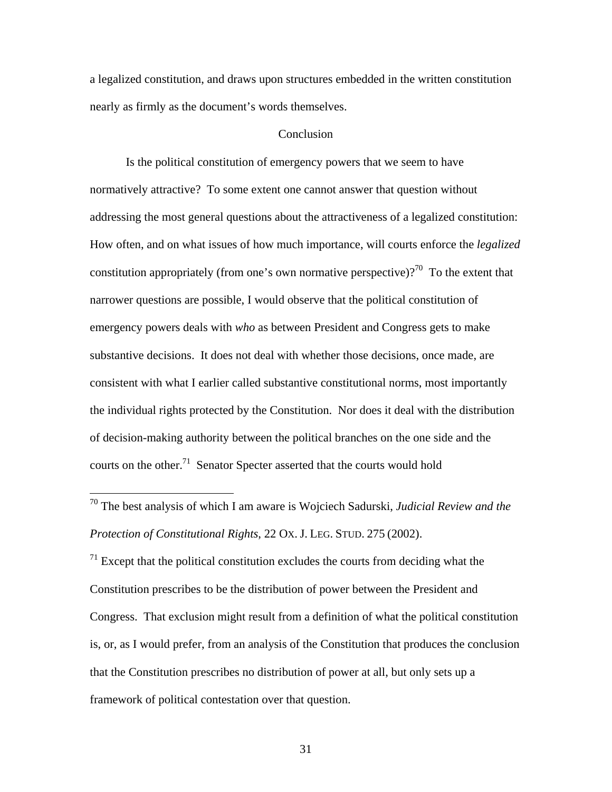a legalized constitution, and draws upon structures embedded in the written constitution nearly as firmly as the document's words themselves.

## **Conclusion**

Is the political constitution of emergency powers that we seem to have normatively attractive? To some extent one cannot answer that question without addressing the most general questions about the attractiveness of a legalized constitution: How often, and on what issues of how much importance, will courts enforce the *legalized* constitution appropriately (from one's own normative perspective)?<sup>70</sup> To the extent that narrower questions are possible, I would observe that the political constitution of emergency powers deals with *who* as between President and Congress gets to make substantive decisions. It does not deal with whether those decisions, once made, are consistent with what I earlier called substantive constitutional norms, most importantly the individual rights protected by the Constitution. Nor does it deal with the distribution of decision-making authority between the political branches on the one side and the courts on the other.<sup>71</sup> Senator Specter asserted that the courts would hold

 $\overline{a}$ 

<span id="page-30-1"></span> $<sup>71</sup>$  Except that the political constitution excludes the courts from deciding what the</sup> Constitution prescribes to be the distribution of power between the President and Congress. That exclusion might result from a definition of what the political constitution is, or, as I would prefer, from an analysis of the Constitution that produces the conclusion that the Constitution prescribes no distribution of power at all, but only sets up a framework of political contestation over that question.

<span id="page-30-0"></span><sup>70</sup> The best analysis of which I am aware is Wojciech Sadurski, *Judicial Review and the Protection of Constitutional Rights*, 22 OX. J. LEG. STUD. 275 (2002).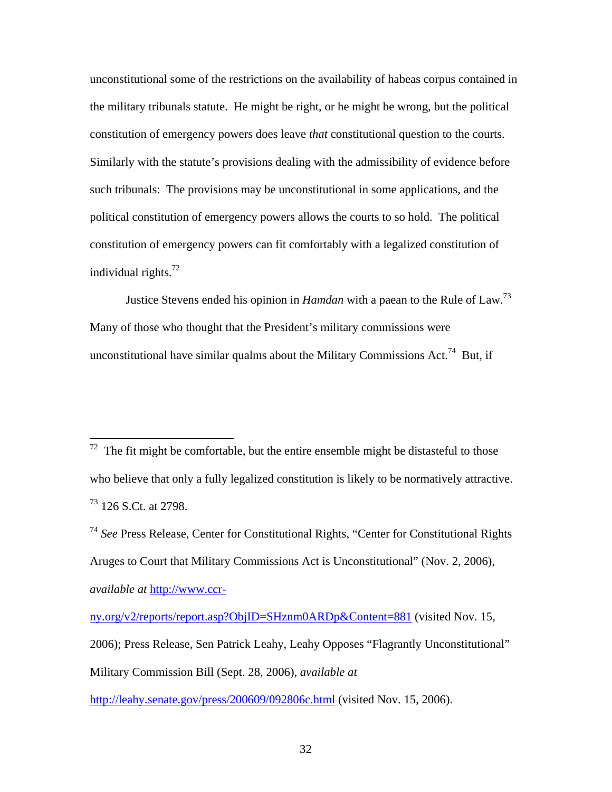unconstitutional some of the restrictions on the availability of habeas corpus contained in the military tribunals statute. He might be right, or he might be wrong, but the political constitution of emergency powers does leave *that* constitutional question to the courts. Similarly with the statute's provisions dealing with the admissibility of evidence before such tribunals: The provisions may be unconstitutional in some applications, and the political constitution of emergency powers allows the courts to so hold. The political constitution of emergency powers can fit comfortably with a legalized constitution of individual rights. $^{72}$ 

Justice Stevens ended his opinion in *Hamdan* with a paean to the Rule of Law.[73](#page-31-1)  Many of those who thought that the President's military commissions were unconstitutional have similar qualms about the Military Commissions Act.<sup>74</sup> But, if

1

<http://leahy.senate.gov/press/200609/092806c.html> (visited Nov. 15, 2006).

<span id="page-31-0"></span> $72$  The fit might be comfortable, but the entire ensemble might be distasteful to those who believe that only a fully legalized constitution is likely to be normatively attractive.  $^{73}$  126 S.Ct. at 2798.

<span id="page-31-2"></span><span id="page-31-1"></span><sup>74</sup> *See* Press Release, Center for Constitutional Rights, "Center for Constitutional Rights Aruges to Court that Military Commissions Act is Unconstitutional" (Nov. 2, 2006), *available at* [http://www.ccr-](http://www.ccr-ny.org/v2/reports/report.asp?ObjID=SHznm0ARDp&Content=881)

[ny.org/v2/reports/report.asp?ObjID=SHznm0ARDp&Content=881](http://www.ccr-ny.org/v2/reports/report.asp?ObjID=SHznm0ARDp&Content=881) (visited Nov. 15, 2006); Press Release, Sen Patrick Leahy, Leahy Opposes "Flagrantly Unconstitutional" Military Commission Bill (Sept. 28, 2006), *available at*